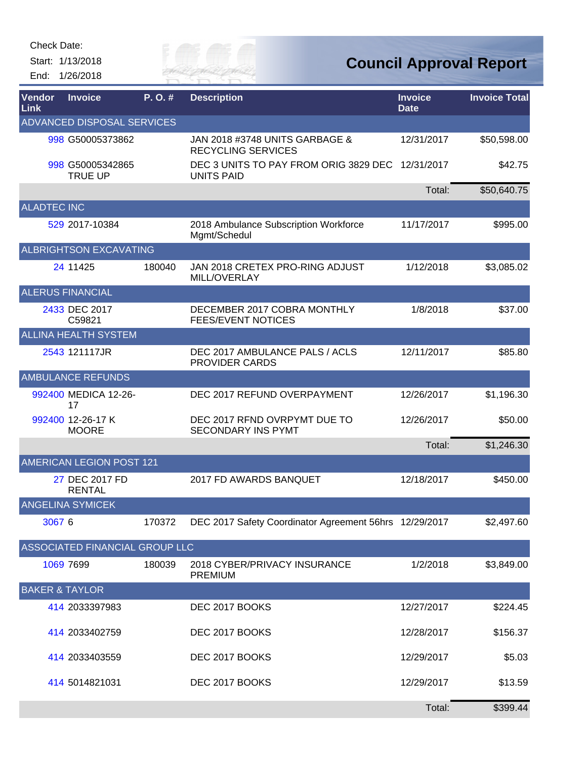Check Date:

Start: 1/13/2018 End: 1/26/2018



**Council Approval Report**

| Vendor<br>Link            | <b>Invoice</b>                     | P.O.#  | <b>Description</b>                                                    | <b>Invoice</b><br><b>Date</b> | <b>Invoice Total</b> |
|---------------------------|------------------------------------|--------|-----------------------------------------------------------------------|-------------------------------|----------------------|
|                           | ADVANCED DISPOSAL SERVICES         |        |                                                                       |                               |                      |
|                           | 998 G50005373862                   |        | JAN 2018 #3748 UNITS GARBAGE &<br><b>RECYCLING SERVICES</b>           | 12/31/2017                    | \$50,598.00          |
|                           | 998 G50005342865<br><b>TRUE UP</b> |        | DEC 3 UNITS TO PAY FROM ORIG 3829 DEC 12/31/2017<br><b>UNITS PAID</b> |                               | \$42.75              |
|                           |                                    |        |                                                                       | Total:                        | \$50,640.75          |
| <b>ALADTEC INC</b>        |                                    |        |                                                                       |                               |                      |
|                           | 529 2017-10384                     |        | 2018 Ambulance Subscription Workforce<br>Mgmt/Schedul                 | 11/17/2017                    | \$995.00             |
|                           | <b>ALBRIGHTSON EXCAVATING</b>      |        |                                                                       |                               |                      |
|                           | 24 11425                           | 180040 | JAN 2018 CRETEX PRO-RING ADJUST<br>MILL/OVERLAY                       | 1/12/2018                     | \$3,085.02           |
|                           | <b>ALERUS FINANCIAL</b>            |        |                                                                       |                               |                      |
|                           | 2433 DEC 2017<br>C59821            |        | DECEMBER 2017 COBRA MONTHLY<br><b>FEES/EVENT NOTICES</b>              | 1/8/2018                      | \$37.00              |
|                           | <b>ALLINA HEALTH SYSTEM</b>        |        |                                                                       |                               |                      |
|                           | 2543 121117JR                      |        | DEC 2017 AMBULANCE PALS / ACLS<br><b>PROVIDER CARDS</b>               | 12/11/2017                    | \$85.80              |
|                           | <b>AMBULANCE REFUNDS</b>           |        |                                                                       |                               |                      |
|                           | 992400 MEDICA 12-26-<br>17         |        | DEC 2017 REFUND OVERPAYMENT                                           | 12/26/2017                    | \$1,196.30           |
|                           | 992400 12-26-17 K<br><b>MOORE</b>  |        | DEC 2017 RFND OVRPYMT DUE TO<br><b>SECONDARY INS PYMT</b>             | 12/26/2017                    | \$50.00              |
|                           |                                    |        |                                                                       | Total:                        | \$1,246.30           |
|                           | AMERICAN LEGION POST 121           |        |                                                                       |                               |                      |
|                           | 27 DEC 2017 FD<br><b>RENTAL</b>    |        | 2017 FD AWARDS BANQUET                                                | 12/18/2017                    | \$450.00             |
|                           | <b>ANGELINA SYMICEK</b>            |        |                                                                       |                               |                      |
| 3067 6                    |                                    | 170372 | DEC 2017 Safety Coordinator Agreement 56hrs 12/29/2017                |                               | \$2,497.60           |
|                           | ASSOCIATED FINANCIAL GROUP LLC     |        |                                                                       |                               |                      |
|                           | 1069 7699                          | 180039 | 2018 CYBER/PRIVACY INSURANCE<br><b>PREMIUM</b>                        | 1/2/2018                      | \$3,849.00           |
| <b>BAKER &amp; TAYLOR</b> |                                    |        |                                                                       |                               |                      |
|                           | 414 2033397983                     |        | DEC 2017 BOOKS                                                        | 12/27/2017                    | \$224.45             |
|                           | 414 2033402759                     |        | DEC 2017 BOOKS                                                        | 12/28/2017                    | \$156.37             |
|                           | 414 2033403559                     |        | DEC 2017 BOOKS                                                        | 12/29/2017                    | \$5.03               |
|                           | 414 5014821031                     |        | DEC 2017 BOOKS                                                        | 12/29/2017                    | \$13.59              |
|                           |                                    |        |                                                                       | Total:                        | \$399.44             |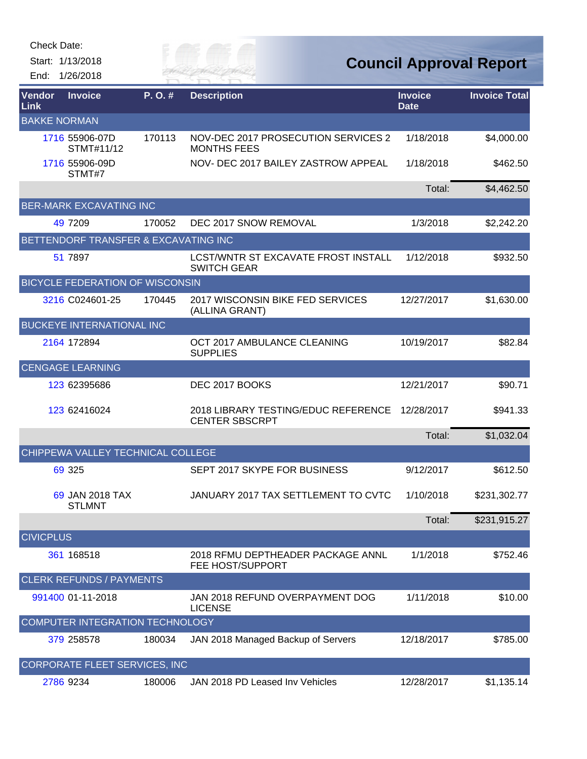| Check Date:      |                                        |         |                                                              |                               |                                |
|------------------|----------------------------------------|---------|--------------------------------------------------------------|-------------------------------|--------------------------------|
|                  | Start: 1/13/2018                       |         |                                                              |                               | <b>Council Approval Report</b> |
| End:             | 1/26/2018                              |         | VER FAI                                                      |                               |                                |
| Vendor<br>Link   | <b>Invoice</b>                         | P. O. # | <b>Description</b>                                           | <b>Invoice</b><br><b>Date</b> | <b>Invoice Total</b>           |
|                  | <b>BAKKE NORMAN</b>                    |         |                                                              |                               |                                |
|                  | 1716 55906-07D<br>STMT#11/12           | 170113  | NOV-DEC 2017 PROSECUTION SERVICES 2<br><b>MONTHS FEES</b>    | 1/18/2018                     | \$4,000.00                     |
|                  | 1716 55906-09D<br>STMT#7               |         | NOV- DEC 2017 BAILEY ZASTROW APPEAL                          | 1/18/2018                     | \$462.50                       |
|                  |                                        |         |                                                              | Total:                        | \$4,462.50                     |
|                  | <b>BER-MARK EXCAVATING INC</b>         |         |                                                              |                               |                                |
|                  | 49 7209                                | 170052  | DEC 2017 SNOW REMOVAL                                        | 1/3/2018                      | \$2,242.20                     |
|                  | BETTENDORF TRANSFER & EXCAVATING INC   |         |                                                              |                               |                                |
|                  | 51 7897                                |         | LCST/WNTR ST EXCAVATE FROST INSTALL<br><b>SWITCH GEAR</b>    | 1/12/2018                     | \$932.50                       |
|                  | <b>BICYCLE FEDERATION OF WISCONSIN</b> |         |                                                              |                               |                                |
|                  | 3216 C024601-25                        | 170445  | 2017 WISCONSIN BIKE FED SERVICES<br>(ALLINA GRANT)           | 12/27/2017                    | \$1,630.00                     |
|                  | <b>BUCKEYE INTERNATIONAL INC</b>       |         |                                                              |                               |                                |
|                  | 2164 172894                            |         | OCT 2017 AMBULANCE CLEANING<br><b>SUPPLIES</b>               | 10/19/2017                    | \$82.84                        |
|                  | <b>CENGAGE LEARNING</b>                |         |                                                              |                               |                                |
|                  | 123 62395686                           |         | DEC 2017 BOOKS                                               | 12/21/2017                    | \$90.71                        |
|                  | 123 62416024                           |         | 2018 LIBRARY TESTING/EDUC REFERENCE<br><b>CENTER SBSCRPT</b> | 12/28/2017                    | \$941.33                       |
|                  |                                        |         |                                                              | Total:                        | \$1,032.04                     |
|                  | CHIPPEWA VALLEY TECHNICAL COLLEGE      |         |                                                              |                               |                                |
|                  | 69 325                                 |         | SEPT 2017 SKYPE FOR BUSINESS                                 | 9/12/2017                     | \$612.50                       |
|                  | 69 JAN 2018 TAX<br><b>STLMNT</b>       |         | JANUARY 2017 TAX SETTLEMENT TO CVTC                          | 1/10/2018                     | \$231,302.77                   |
|                  |                                        |         |                                                              | Total:                        | \$231,915.27                   |
| <b>CIVICPLUS</b> |                                        |         |                                                              |                               |                                |
|                  | 361 168518                             |         | 2018 RFMU DEPTHEADER PACKAGE ANNL<br>FEE HOST/SUPPORT        | 1/1/2018                      | \$752.46                       |
|                  | <b>CLERK REFUNDS / PAYMENTS</b>        |         |                                                              |                               |                                |
|                  | 991400 01-11-2018                      |         | JAN 2018 REFUND OVERPAYMENT DOG<br><b>LICENSE</b>            | 1/11/2018                     | \$10.00                        |
|                  | <b>COMPUTER INTEGRATION TECHNOLOGY</b> |         |                                                              |                               |                                |
|                  | 379 258578                             | 180034  | JAN 2018 Managed Backup of Servers                           | 12/18/2017                    | \$785.00                       |
|                  | CORPORATE FLEET SERVICES, INC          |         |                                                              |                               |                                |
|                  | 2786 9234                              | 180006  | JAN 2018 PD Leased Inv Vehicles                              | 12/28/2017                    | \$1,135.14                     |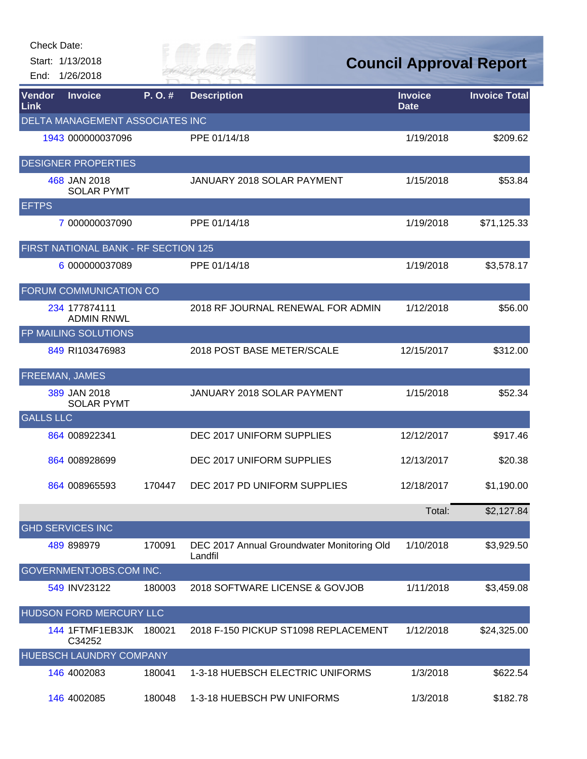| Check Date:      |                                      |        |                                                       |                                |                      |
|------------------|--------------------------------------|--------|-------------------------------------------------------|--------------------------------|----------------------|
|                  | Start: 1/13/2018                     |        | e en m                                                | <b>Council Approval Report</b> |                      |
| End:             | 1/26/2018                            |        |                                                       |                                |                      |
| Vendor<br>Link   | <b>Invoice</b>                       | P.O.#  | <b>Description</b>                                    | <b>Invoice</b><br><b>Date</b>  | <b>Invoice Total</b> |
|                  | DELTA MANAGEMENT ASSOCIATES INC      |        |                                                       |                                |                      |
|                  | 1943 000000037096                    |        | PPE 01/14/18                                          | 1/19/2018                      | \$209.62             |
|                  | <b>DESIGNER PROPERTIES</b>           |        |                                                       |                                |                      |
|                  | 468 JAN 2018<br><b>SOLAR PYMT</b>    |        | <b>JANUARY 2018 SOLAR PAYMENT</b>                     | 1/15/2018                      | \$53.84              |
| <b>EFTPS</b>     |                                      |        |                                                       |                                |                      |
|                  | 7 000000037090                       |        | PPE 01/14/18                                          | 1/19/2018                      | \$71,125.33          |
|                  | FIRST NATIONAL BANK - RF SECTION 125 |        |                                                       |                                |                      |
|                  | 6 000000037089                       |        | PPE 01/14/18                                          | 1/19/2018                      | \$3,578.17           |
|                  | <b>FORUM COMMUNICATION CO</b>        |        |                                                       |                                |                      |
|                  | 234 177874111<br><b>ADMIN RNWL</b>   |        | 2018 RF JOURNAL RENEWAL FOR ADMIN                     | 1/12/2018                      | \$56.00              |
|                  | FP MAILING SOLUTIONS                 |        |                                                       |                                |                      |
|                  | 849 RI103476983                      |        | 2018 POST BASE METER/SCALE                            | 12/15/2017                     | \$312.00             |
|                  | <b>FREEMAN, JAMES</b>                |        |                                                       |                                |                      |
|                  | 389 JAN 2018<br><b>SOLAR PYMT</b>    |        | JANUARY 2018 SOLAR PAYMENT                            | 1/15/2018                      | \$52.34              |
| <b>GALLS LLC</b> |                                      |        |                                                       |                                |                      |
|                  | 864 008922341                        |        | DEC 2017 UNIFORM SUPPLIES                             | 12/12/2017                     | \$917.46             |
|                  | 864 008928699                        |        | DEC 2017 UNIFORM SUPPLIES                             | 12/13/2017                     | \$20.38              |
|                  | 864 008965593                        | 170447 | DEC 2017 PD UNIFORM SUPPLIES                          | 12/18/2017                     | \$1,190.00           |
|                  |                                      |        |                                                       | Total:                         | \$2,127.84           |
|                  | <b>GHD SERVICES INC</b>              |        |                                                       |                                |                      |
|                  | 489 898979                           | 170091 | DEC 2017 Annual Groundwater Monitoring Old<br>Landfil | 1/10/2018                      | \$3,929.50           |
|                  | GOVERNMENTJOBS.COM INC.              |        |                                                       |                                |                      |
|                  | 549 INV23122                         | 180003 | 2018 SOFTWARE LICENSE & GOVJOB                        | 1/11/2018                      | \$3,459.08           |
|                  | HUDSON FORD MERCURY LLC              |        |                                                       |                                |                      |
|                  | 144 1FTMF1EB3JK<br>C34252            | 180021 | 2018 F-150 PICKUP ST1098 REPLACEMENT                  | 1/12/2018                      | \$24,325.00          |
|                  | HUEBSCH LAUNDRY COMPANY              |        |                                                       |                                |                      |
|                  | 146 4002083                          | 180041 | 1-3-18 HUEBSCH ELECTRIC UNIFORMS                      | 1/3/2018                       | \$622.54             |
|                  | 146 4002085                          | 180048 | 1-3-18 HUEBSCH PW UNIFORMS                            | 1/3/2018                       | \$182.78             |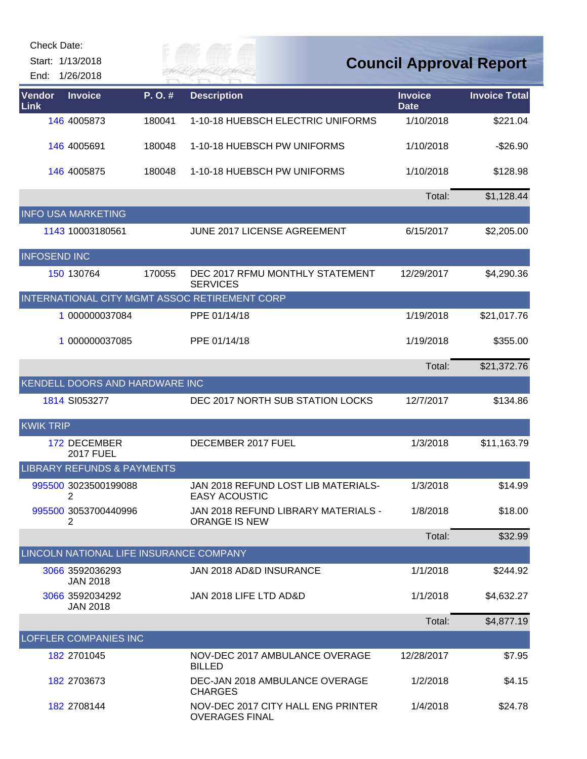| <b>Check Date:</b><br>End: | Start: 1/13/2018<br>1/26/2018           |        |                                                             | <b>Council Approval Report</b> |                      |
|----------------------------|-----------------------------------------|--------|-------------------------------------------------------------|--------------------------------|----------------------|
| Vendor<br>Link             | <b>Invoice</b>                          | P.O.#  | <b>Description</b>                                          | <b>Invoice</b><br><b>Date</b>  | <b>Invoice Total</b> |
|                            | 146 4005873                             | 180041 | 1-10-18 HUEBSCH ELECTRIC UNIFORMS                           | 1/10/2018                      | \$221.04             |
|                            | 146 4005691                             | 180048 | 1-10-18 HUEBSCH PW UNIFORMS                                 | 1/10/2018                      | $-$26.90$            |
|                            | 146 4005875                             | 180048 | 1-10-18 HUEBSCH PW UNIFORMS                                 | 1/10/2018                      | \$128.98             |
|                            | <b>INFO USA MARKETING</b>               |        |                                                             | Total:                         | \$1,128.44           |
|                            | 1143 10003180561                        |        | JUNE 2017 LICENSE AGREEMENT                                 | 6/15/2017                      | \$2,205.00           |
| <b>INFOSEND INC</b>        |                                         |        |                                                             |                                |                      |
|                            | 150 130764                              | 170055 | DEC 2017 RFMU MONTHLY STATEMENT<br><b>SERVICES</b>          | 12/29/2017                     | \$4,290.36           |
|                            |                                         |        | INTERNATIONAL CITY MGMT ASSOC RETIREMENT CORP               |                                |                      |
|                            | 1 000000037084                          |        | PPE 01/14/18                                                | 1/19/2018                      | \$21,017.76          |
|                            | 1 000000037085                          |        | PPE 01/14/18                                                | 1/19/2018                      | \$355.00             |
|                            |                                         |        |                                                             | Total:                         | \$21,372.76          |
|                            | KENDELL DOORS AND HARDWARE INC          |        |                                                             |                                |                      |
|                            | 1814 SI053277                           |        | DEC 2017 NORTH SUB STATION LOCKS                            | 12/7/2017                      | \$134.86             |
| <b>KWIK TRIP</b>           |                                         |        |                                                             |                                |                      |
|                            | 172 DECEMBER<br><b>2017 FUEL</b>        |        | DECEMBER 2017 FUEL                                          | 1/3/2018                       | \$11,163.79          |
|                            | <b>LIBRARY REFUNDS &amp; PAYMENTS</b>   |        |                                                             |                                |                      |
|                            | 995500 3023500199088<br>2               |        | JAN 2018 REFUND LOST LIB MATERIALS-<br><b>EASY ACOUSTIC</b> | 1/3/2018                       | \$14.99              |
|                            | 995500 3053700440996<br>2               |        | JAN 2018 REFUND LIBRARY MATERIALS -<br><b>ORANGE IS NEW</b> | 1/8/2018                       | \$18.00              |
|                            |                                         |        |                                                             | Total:                         | \$32.99              |
|                            | LINCOLN NATIONAL LIFE INSURANCE COMPANY |        |                                                             |                                |                      |
|                            | 3066 3592036293<br><b>JAN 2018</b>      |        | JAN 2018 AD&D INSURANCE                                     | 1/1/2018                       | \$244.92             |
|                            | 3066 3592034292<br><b>JAN 2018</b>      |        | JAN 2018 LIFE LTD AD&D                                      | 1/1/2018                       | \$4,632.27           |
|                            |                                         |        |                                                             | Total:                         | \$4,877.19           |
|                            | <b>LOFFLER COMPANIES INC</b>            |        |                                                             |                                |                      |
|                            | 182 2701045                             |        | NOV-DEC 2017 AMBULANCE OVERAGE<br><b>BILLED</b>             | 12/28/2017                     | \$7.95               |
|                            | 182 2703673                             |        | DEC-JAN 2018 AMBULANCE OVERAGE<br><b>CHARGES</b>            | 1/2/2018                       | \$4.15               |
|                            | 182 2708144                             |        | NOV-DEC 2017 CITY HALL ENG PRINTER<br><b>OVERAGES FINAL</b> | 1/4/2018                       | \$24.78              |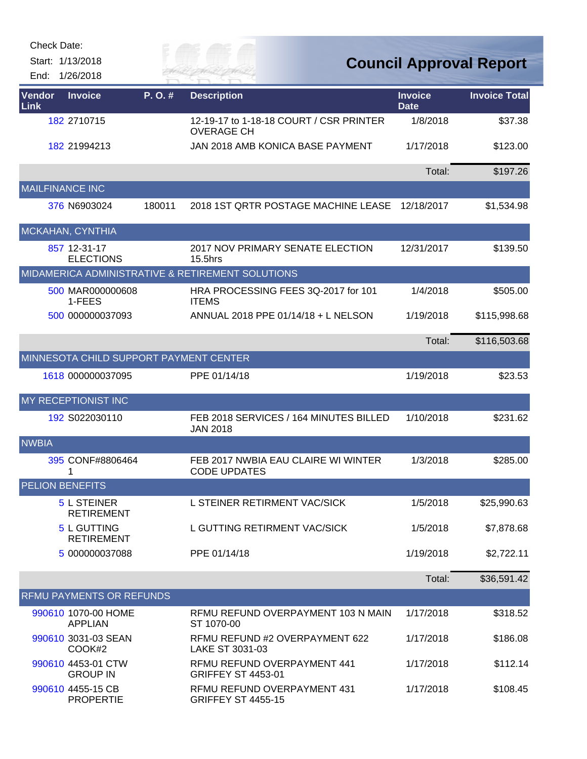| Check Date:    |                                         |           |                                                              |                               |                                |
|----------------|-----------------------------------------|-----------|--------------------------------------------------------------|-------------------------------|--------------------------------|
| End:           | Start: 1/13/2018<br>1/26/2018           |           | TR MAI                                                       |                               | <b>Council Approval Report</b> |
| Vendor<br>Link | <b>Invoice</b>                          | $P. O.$ # | <b>Description</b>                                           | <b>Invoice</b><br><b>Date</b> | <b>Invoice Total</b>           |
|                | 182 2710715                             |           | 12-19-17 to 1-18-18 COURT / CSR PRINTER<br><b>OVERAGE CH</b> | 1/8/2018                      | \$37.38                        |
|                | 182 21994213                            |           | JAN 2018 AMB KONICA BASE PAYMENT                             | 1/17/2018                     | \$123.00                       |
|                |                                         |           |                                                              | Total:                        | \$197.26                       |
|                | <b>MAILFINANCE INC</b>                  |           |                                                              |                               |                                |
|                | 376 N6903024                            | 180011    | 2018 1ST QRTR POSTAGE MACHINE LEASE                          | 12/18/2017                    | \$1,534.98                     |
|                | MCKAHAN, CYNTHIA                        |           |                                                              |                               |                                |
|                | 857 12-31-17<br><b>ELECTIONS</b>        |           | 2017 NOV PRIMARY SENATE ELECTION<br>15.5hrs                  | 12/31/2017                    | \$139.50                       |
|                |                                         |           | MIDAMERICA ADMINISTRATIVE & RETIREMENT SOLUTIONS             |                               |                                |
|                | 500 MAR000000608<br>1-FEES              |           | HRA PROCESSING FEES 3Q-2017 for 101<br><b>ITEMS</b>          | 1/4/2018                      | \$505.00                       |
|                | 500 000000037093                        |           | ANNUAL 2018 PPE 01/14/18 + L NELSON                          | 1/19/2018                     | \$115,998.68                   |
|                |                                         |           |                                                              | Total:                        | \$116,503.68                   |
|                | MINNESOTA CHILD SUPPORT PAYMENT CENTER  |           |                                                              |                               |                                |
|                | 1618 000000037095                       |           | PPE 01/14/18                                                 | 1/19/2018                     | \$23.53                        |
|                | MY RECEPTIONIST INC                     |           |                                                              |                               |                                |
|                | 192 S022030110                          |           | FEB 2018 SERVICES / 164 MINUTES BILLED<br><b>JAN 2018</b>    | 1/10/2018                     | \$231.62                       |
| <b>NWBIA</b>   |                                         |           |                                                              |                               |                                |
|                | 395 CONF#8806464<br>1                   |           | FEB 2017 NWBIA EAU CLAIRE WI WINTER<br><b>CODE UPDATES</b>   | 1/3/2018                      | \$285.00                       |
|                | <b>PELION BENEFITS</b>                  |           |                                                              |                               |                                |
|                | 5 L STEINER<br><b>RETIREMENT</b>        |           | L STEINER RETIRMENT VAC/SICK                                 | 1/5/2018                      | \$25,990.63                    |
|                | <b>5 L GUTTING</b><br><b>RETIREMENT</b> |           | L GUTTING RETIRMENT VAC/SICK                                 | 1/5/2018                      | \$7,878.68                     |
|                | 5 000000037088                          |           | PPE 01/14/18                                                 | 1/19/2018                     | \$2,722.11                     |
|                |                                         |           |                                                              | Total:                        | \$36,591.42                    |
|                | RFMU PAYMENTS OR REFUNDS                |           |                                                              |                               |                                |
|                | 990610 1070-00 HOME<br><b>APPLIAN</b>   |           | RFMU REFUND OVERPAYMENT 103 N MAIN<br>ST 1070-00             | 1/17/2018                     | \$318.52                       |
|                | 990610 3031-03 SEAN<br>COOK#2           |           | RFMU REFUND #2 OVERPAYMENT 622<br>LAKE ST 3031-03            | 1/17/2018                     | \$186.08                       |
|                | 990610 4453-01 CTW<br><b>GROUP IN</b>   |           | RFMU REFUND OVERPAYMENT 441<br><b>GRIFFEY ST 4453-01</b>     | 1/17/2018                     | \$112.14                       |
|                | 990610 4455-15 CB<br><b>PROPERTIE</b>   |           | RFMU REFUND OVERPAYMENT 431<br><b>GRIFFEY ST 4455-15</b>     | 1/17/2018                     | \$108.45                       |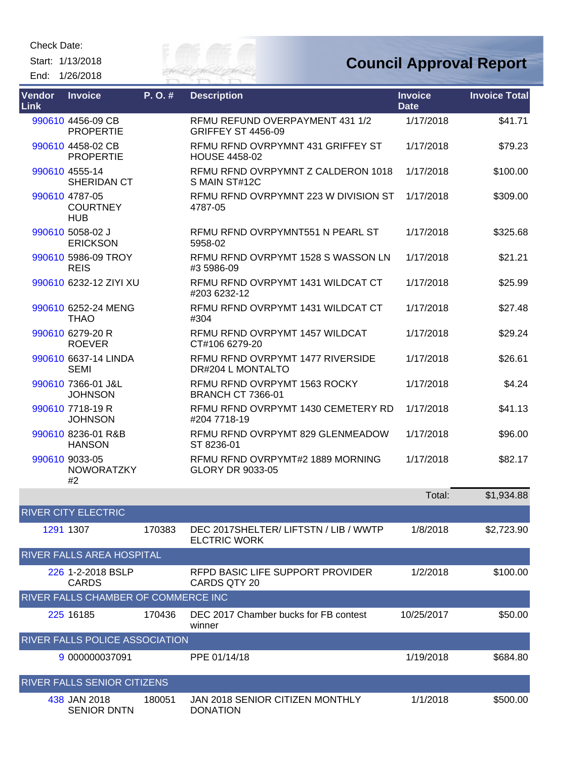Check Date:

Start: 1/13/2018 End: 1/26/2018



| Vendor<br>Link | <b>Invoice</b>                                  | P.O.# | <b>Description</b>                                           | <b>Invoice</b><br><b>Date</b> | <b>Invoice Total</b> |
|----------------|-------------------------------------------------|-------|--------------------------------------------------------------|-------------------------------|----------------------|
|                | 990610 4456-09 CB<br><b>PROPERTIE</b>           |       | RFMU REFUND OVERPAYMENT 431 1/2<br><b>GRIFFEY ST 4456-09</b> | 1/17/2018                     | \$41.71              |
|                | 990610 4458-02 CB<br><b>PROPERTIE</b>           |       | REMU REND OVRPYMNT 431 GRIFFEY ST<br><b>HOUSE 4458-02</b>    | 1/17/2018                     | \$79.23              |
|                | 990610 4555-14<br>SHERIDAN CT                   |       | REMU REND OVRPYMNT Z CALDERON 1018<br>S MAIN ST#12C          | 1/17/2018                     | \$100.00             |
|                | 990610 4787-05<br><b>COURTNEY</b><br><b>HUB</b> |       | REMU REND OVRPYMNT 223 W DIVISION ST<br>4787-05              | 1/17/2018                     | \$309.00             |
|                | 990610 5058-02 J<br><b>ERICKSON</b>             |       | RFMU RFND OVRPYMNT551 N PEARL ST<br>5958-02                  | 1/17/2018                     | \$325.68             |
|                | 990610 5986-09 TROY<br><b>REIS</b>              |       | RFMU RFND OVRPYMT 1528 S WASSON LN<br>#3 5986-09             | 1/17/2018                     | \$21.21              |
|                | 990610 6232-12 ZIYI XU                          |       | REMU REND OVRPYMT 1431 WILDCAT CT<br>#203 6232-12            | 1/17/2018                     | \$25.99              |
|                | 990610 6252-24 MENG<br><b>THAO</b>              |       | RFMU RFND OVRPYMT 1431 WILDCAT CT<br>#304                    | 1/17/2018                     | \$27.48              |
|                | 990610 6279-20 R<br><b>ROEVER</b>               |       | RFMU RFND OVRPYMT 1457 WILDCAT<br>CT#106 6279-20             | 1/17/2018                     | \$29.24              |
|                | 990610 6637-14 LINDA<br><b>SEMI</b>             |       | RFMU RFND OVRPYMT 1477 RIVERSIDE<br>DR#204 L MONTALTO        | 1/17/2018                     | \$26.61              |
|                | 990610 7366-01 J&L<br><b>JOHNSON</b>            |       | RFMU RFND OVRPYMT 1563 ROCKY<br><b>BRANCH CT 7366-01</b>     | 1/17/2018                     | \$4.24               |
|                | 990610 7718-19 R<br><b>JOHNSON</b>              |       | RFMU RFND OVRPYMT 1430 CEMETERY RD<br>#204 7718-19           | 1/17/2018                     | \$41.13              |
|                | 990610 8236-01 R&B<br><b>HANSON</b>             |       | RFMU RFND OVRPYMT 829 GLENMEADOW<br>ST 8236-01               | 1/17/2018                     | \$96.00              |
|                | 990610 9033-05<br><b>NOWORATZKY</b><br>#2       |       | RFMU RFND OVRPYMT#2 1889 MORNING<br>GLORY DR 9033-05         | 1/17/2018                     | \$82.17              |

|                                       |        |                                                             | Total:     | \$1,934.88 |  |
|---------------------------------------|--------|-------------------------------------------------------------|------------|------------|--|
| <b>RIVER CITY ELECTRIC</b>            |        |                                                             |            |            |  |
| 1291 1307                             | 170383 | DEC 2017SHELTER/LIFTSTN / LIB / WWTP<br><b>ELCTRIC WORK</b> | 1/8/2018   | \$2,723.90 |  |
| <b>RIVER FALLS AREA HOSPITAL</b>      |        |                                                             |            |            |  |
| 226 1-2-2018 BSLP<br><b>CARDS</b>     |        | RFPD BASIC LIFE SUPPORT PROVIDER<br>CARDS QTY 20            | 1/2/2018   | \$100.00   |  |
| RIVER FALLS CHAMBER OF COMMERCE INC   |        |                                                             |            |            |  |
| 225 16185                             | 170436 | DEC 2017 Chamber bucks for FB contest<br>winner             | 10/25/2017 | \$50.00    |  |
| <b>RIVER FALLS POLICE ASSOCIATION</b> |        |                                                             |            |            |  |
| 9 000000037091                        |        | PPE 01/14/18                                                | 1/19/2018  | \$684.80   |  |
| <b>RIVER FALLS SENIOR CITIZENS</b>    |        |                                                             |            |            |  |
| 438 JAN 2018<br><b>SENIOR DNTN</b>    | 180051 | JAN 2018 SENIOR CITIZEN MONTHLY<br><b>DONATION</b>          | 1/1/2018   | \$500.00   |  |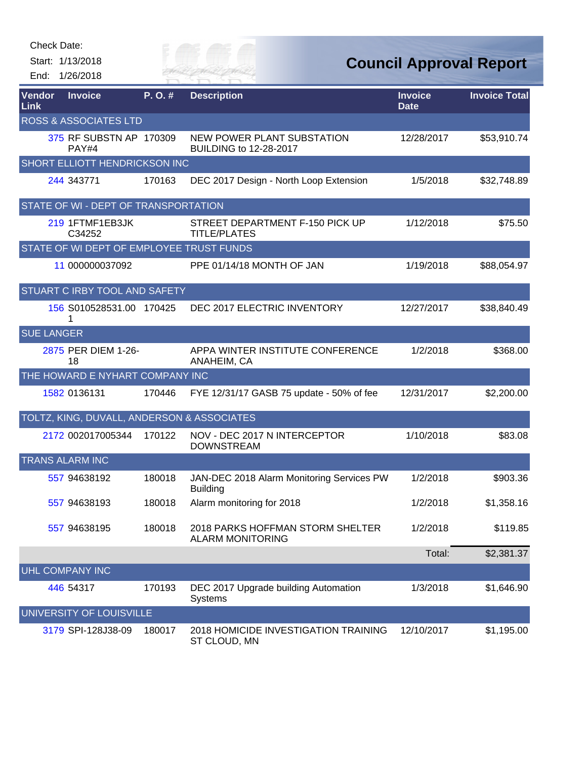| Check Date:       | Start: 1/13/2018                           |        | <sup>o</sup> Or <sup>on</sup> a                              |                               | <b>Council Approval Report</b> |
|-------------------|--------------------------------------------|--------|--------------------------------------------------------------|-------------------------------|--------------------------------|
|                   | End: 1/26/2018                             |        | ER FAI                                                       |                               |                                |
| Vendor<br>Link    | <b>Invoice</b>                             | P.O.#  | <b>Description</b>                                           | <b>Invoice</b><br><b>Date</b> | <b>Invoice Total</b>           |
|                   | <b>ROSS &amp; ASSOCIATES LTD</b>           |        |                                                              |                               |                                |
|                   | 375 RF SUBSTN AP 170309<br>PAY#4           |        | NEW POWER PLANT SUBSTATION<br>BUILDING to 12-28-2017         | 12/28/2017                    | \$53,910.74                    |
|                   | SHORT ELLIOTT HENDRICKSON INC              |        |                                                              |                               |                                |
|                   | 244 343771                                 | 170163 | DEC 2017 Design - North Loop Extension                       | 1/5/2018                      | \$32,748.89                    |
|                   | STATE OF WI - DEPT OF TRANSPORTATION       |        |                                                              |                               |                                |
|                   | 219 1FTMF1EB3JK<br>C34252                  |        | STREET DEPARTMENT F-150 PICK UP<br><b>TITLE/PLATES</b>       | 1/12/2018                     | \$75.50                        |
|                   | STATE OF WI DEPT OF EMPLOYEE TRUST FUNDS   |        |                                                              |                               |                                |
|                   | 11 000000037092                            |        | PPE 01/14/18 MONTH OF JAN                                    | 1/19/2018                     | \$88,054.97                    |
|                   | STUART C IRBY TOOL AND SAFETY              |        |                                                              |                               |                                |
|                   | 156 S010528531.00 170425<br>1              |        | DEC 2017 ELECTRIC INVENTORY                                  | 12/27/2017                    | \$38,840.49                    |
| <b>SUE LANGER</b> |                                            |        |                                                              |                               |                                |
|                   | 2875 PER DIEM 1-26-<br>18                  |        | APPA WINTER INSTITUTE CONFERENCE<br>ANAHEIM, CA              | 1/2/2018                      | \$368.00                       |
|                   | THE HOWARD E NYHART COMPANY INC            |        |                                                              |                               |                                |
|                   | 1582 0136131                               | 170446 | FYE 12/31/17 GASB 75 update - 50% of fee                     | 12/31/2017                    | \$2,200.00                     |
|                   | TOLTZ, KING, DUVALL, ANDERSON & ASSOCIATES |        |                                                              |                               |                                |
|                   | 2172 002017005344                          | 170122 | NOV - DEC 2017 N INTERCEPTOR<br><b>DOWNSTREAM</b>            | 1/10/2018                     | \$83.08                        |
|                   | <b>TRANS ALARM INC</b>                     |        |                                                              |                               |                                |
|                   | 557 94638192                               | 180018 | JAN-DEC 2018 Alarm Monitoring Services PW<br><b>Building</b> | 1/2/2018                      | \$903.36                       |
|                   | 557 94638193                               | 180018 | Alarm monitoring for 2018                                    | 1/2/2018                      | \$1,358.16                     |
|                   | 557 94638195                               | 180018 | 2018 PARKS HOFFMAN STORM SHELTER<br><b>ALARM MONITORING</b>  | 1/2/2018                      | \$119.85                       |
|                   |                                            |        |                                                              | Total:                        | \$2,381.37                     |
|                   | <b>UHL COMPANY INC</b>                     |        |                                                              |                               |                                |
|                   | 446 54317                                  | 170193 | DEC 2017 Upgrade building Automation<br><b>Systems</b>       | 1/3/2018                      | \$1,646.90                     |
|                   | UNIVERSITY OF LOUISVILLE                   |        |                                                              |                               |                                |
|                   | 3179 SPI-128J38-09                         | 180017 | 2018 HOMICIDE INVESTIGATION TRAINING<br>ST CLOUD, MN         | 12/10/2017                    | \$1,195.00                     |